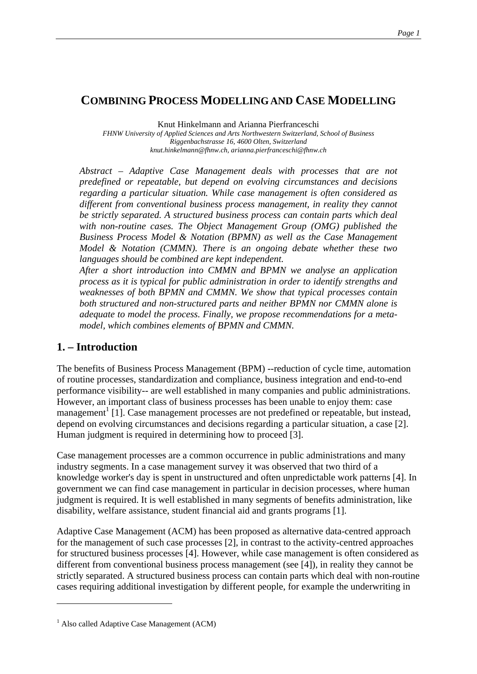## **COMBINING PROCESS MODELLING AND CASE MODELLING**

Knut Hinkelmann and Arianna Pierfranceschi

*FHNW University of Applied Sciences and Arts Northwestern Switzerland, School of Business Riggenbachstrasse 16, 4600 Olten, Switzerland knut.hinkelmann@fhnw.ch, arianna.pierfranceschi@fhnw.ch* 

*Abstract – Adaptive Case Management deals with processes that are not predefined or repeatable, but depend on evolving circumstances and decisions regarding a particular situation. While case management is often considered as different from conventional business process management, in reality they cannot be strictly separated. A structured business process can contain parts which deal with non-routine cases. The Object Management Group (OMG) published the Business Process Model & Notation (BPMN) as well as the Case Management Model & Notation (CMMN). There is an ongoing debate whether these two languages should be combined are kept independent.* 

*After a short introduction into CMMN and BPMN we analyse an application process as it is typical for public administration in order to identify strengths and weaknesses of both BPMN and CMMN. We show that typical processes contain both structured and non-structured parts and neither BPMN nor CMMN alone is adequate to model the process. Finally, we propose recommendations for a metamodel, which combines elements of BPMN and CMMN.* 

### **1. – Introduction**

The benefits of Business Process Management (BPM) --reduction of cycle time, automation of routine processes, standardization and compliance, business integration and end-to-end performance visibility-- are well established in many companies and public administrations. However, an important class of business processes has been unable to enjoy them: case management<sup>1</sup> [1]. Case management processes are not predefined or repeatable, but instead, depend on evolving circumstances and decisions regarding a particular situation, a case [2]. Human judgment is required in determining how to proceed [3].

Case management processes are a common occurrence in public administrations and many industry segments. In a case management survey it was observed that two third of a knowledge worker's day is spent in unstructured and often unpredictable work patterns [4]. In government we can find case management in particular in decision processes, where human judgment is required. It is well established in many segments of benefits administration, like disability, welfare assistance, student financial aid and grants programs [1].

Adaptive Case Management (ACM) has been proposed as alternative data-centred approach for the management of such case processes [2], in contrast to the activity-centred approaches for structured business processes [4]. However, while case management is often considered as different from conventional business process management (see [4]), in reality they cannot be strictly separated. A structured business process can contain parts which deal with non-routine cases requiring additional investigation by different people, for example the underwriting in

1

<sup>&</sup>lt;sup>1</sup> Also called Adaptive Case Management (ACM)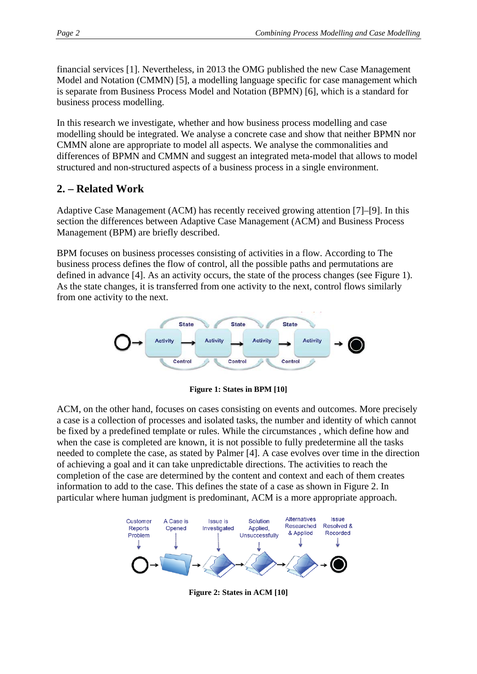financial services [1]. Nevertheless, in 2013 the OMG published the new Case Management Model and Notation (CMMN) [5], a modelling language specific for case management which is separate from Business Process Model and Notation (BPMN) [6], which is a standard for business process modelling.

In this research we investigate, whether and how business process modelling and case modelling should be integrated. We analyse a concrete case and show that neither BPMN nor CMMN alone are appropriate to model all aspects. We analyse the commonalities and differences of BPMN and CMMN and suggest an integrated meta-model that allows to model structured and non-structured aspects of a business process in a single environment.

## **2. – Related Work**

Adaptive Case Management (ACM) has recently received growing attention [7]–[9]. In this section the differences between Adaptive Case Management (ACM) and Business Process Management (BPM) are briefly described.

BPM focuses on business processes consisting of activities in a flow. According to The business process defines the flow of control, all the possible paths and permutations are defined in advance [4]. As an activity occurs, the state of the process changes (see Figure 1). As the state changes, it is transferred from one activity to the next, control flows similarly from one activity to the next.



**Figure 1: States in BPM [10]** 

ACM, on the other hand, focuses on cases consisting on events and outcomes. More precisely a case is a collection of processes and isolated tasks, the number and identity of which cannot be fixed by a predefined template or rules. While the circumstances , which define how and when the case is completed are known, it is not possible to fully predetermine all the tasks needed to complete the case, as stated by Palmer [4]. A case evolves over time in the direction of achieving a goal and it can take unpredictable directions. The activities to reach the completion of the case are determined by the content and context and each of them creates information to add to the case. This defines the state of a case as shown in Figure 2. In particular where human judgment is predominant, ACM is a more appropriate approach.



**Figure 2: States in ACM [10]**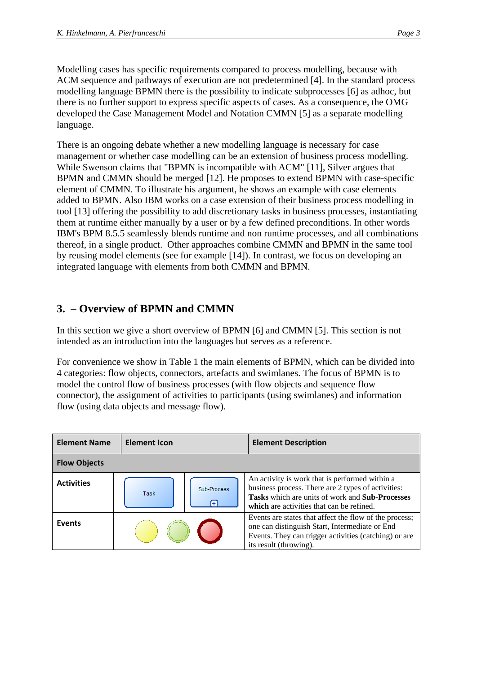Modelling cases has specific requirements compared to process modelling, because with ACM sequence and pathways of execution are not predetermined [4]. In the standard process modelling language BPMN there is the possibility to indicate subprocesses [6] as adhoc, but there is no further support to express specific aspects of cases. As a consequence, the OMG developed the Case Management Model and Notation CMMN [5] as a separate modelling language.

There is an ongoing debate whether a new modelling language is necessary for case management or whether case modelling can be an extension of business process modelling. While Swenson claims that "BPMN is incompatible with ACM" [11], Silver argues that BPMN and CMMN should be merged [12]. He proposes to extend BPMN with case-specific element of CMMN. To illustrate his argument, he shows an example with case elements added to BPMN. Also IBM works on a case extension of their business process modelling in tool [13] offering the possibility to add discretionary tasks in business processes, instantiating them at runtime either manually by a user or by a few defined preconditions. In other words IBM's BPM 8.5.5 seamlessly blends runtime and non runtime processes, and all combinations thereof, in a single product. Other approaches combine CMMN and BPMN in the same tool by reusing model elements (see for example [14]). In contrast, we focus on developing an integrated language with elements from both CMMN and BPMN.

## **3. – Overview of BPMN and CMMN**

In this section we give a short overview of BPMN [6] and CMMN [5]. This section is not intended as an introduction into the languages but serves as a reference.

For convenience we show in Table 1 the main elements of BPMN, which can be divided into 4 categories: flow objects, connectors, artefacts and swimlanes. The focus of BPMN is to model the control flow of business processes (with flow objects and sequence flow connector), the assignment of activities to participants (using swimlanes) and information flow (using data objects and message flow).

| <b>Element Name</b> | <b>Element Icon</b> |                  | <b>Element Description</b>                                                                                                                                                                           |  |  |
|---------------------|---------------------|------------------|------------------------------------------------------------------------------------------------------------------------------------------------------------------------------------------------------|--|--|
| <b>Flow Objects</b> |                     |                  |                                                                                                                                                                                                      |  |  |
| <b>Activities</b>   | Task                | Sub-Process<br>Æ | An activity is work that is performed within a<br>business process. There are 2 types of activities:<br>Tasks which are units of work and Sub-Processes<br>which are activities that can be refined. |  |  |
| <b>Events</b>       |                     |                  | Events are states that affect the flow of the process;<br>one can distinguish Start, Intermediate or End<br>Events. They can trigger activities (catching) or are<br>its result (throwing).          |  |  |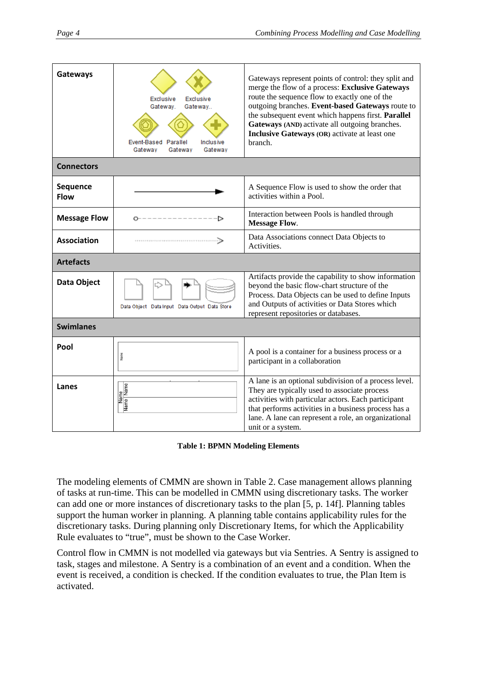| <b>Gateways</b>                | <b>Exclusive</b><br>Exclusive<br>Gateway.<br>Gateway<br>Event-Based Parallel<br><b>Inclusive</b><br>Gateway<br>Gateway<br>Gateway | Gateways represent points of control: they split and<br>merge the flow of a process: Exclusive Gateways<br>route the sequence flow to exactly one of the<br>outgoing branches. Event-based Gateways route to<br>the subsequent event which happens first. Parallel<br>Gateways (AND) activate all outgoing branches.<br>Inclusive Gateways (OR) activate at least one<br>branch. |  |  |  |
|--------------------------------|-----------------------------------------------------------------------------------------------------------------------------------|----------------------------------------------------------------------------------------------------------------------------------------------------------------------------------------------------------------------------------------------------------------------------------------------------------------------------------------------------------------------------------|--|--|--|
| <b>Connectors</b>              |                                                                                                                                   |                                                                                                                                                                                                                                                                                                                                                                                  |  |  |  |
| <b>Sequence</b><br><b>Flow</b> |                                                                                                                                   | A Sequence Flow is used to show the order that<br>activities within a Pool.                                                                                                                                                                                                                                                                                                      |  |  |  |
| <b>Message Flow</b>            |                                                                                                                                   | Interaction between Pools is handled through<br><b>Message Flow.</b>                                                                                                                                                                                                                                                                                                             |  |  |  |
| <b>Association</b>             |                                                                                                                                   | Data Associations connect Data Objects to<br>Activities.                                                                                                                                                                                                                                                                                                                         |  |  |  |
| <b>Artefacts</b>               |                                                                                                                                   |                                                                                                                                                                                                                                                                                                                                                                                  |  |  |  |
| Data Object                    | Data Object Data Input Data Output Data Store                                                                                     | Artifacts provide the capability to show information<br>beyond the basic flow-chart structure of the<br>Process. Data Objects can be used to define Inputs<br>and Outputs of activities or Data Stores which<br>represent repositories or databases.                                                                                                                             |  |  |  |
| <b>Swimlanes</b>               |                                                                                                                                   |                                                                                                                                                                                                                                                                                                                                                                                  |  |  |  |
| Pool                           | Name                                                                                                                              | A pool is a container for a business process or a<br>participant in a collaboration                                                                                                                                                                                                                                                                                              |  |  |  |
| Lanes                          | Name<br>Name Name                                                                                                                 | A lane is an optional subdivision of a process level.<br>They are typically used to associate process<br>activities with particular actors. Each participant<br>that performs activities in a business process has a<br>lane. A lane can represent a role, an organizational<br>unit or a system.                                                                                |  |  |  |

**Table 1: BPMN Modeling Elements** 

The modeling elements of CMMN are shown in Table 2. Case management allows planning of tasks at run-time. This can be modelled in CMMN using discretionary tasks. The worker can add one or more instances of discretionary tasks to the plan [5, p. 14f]. Planning tables support the human worker in planning. A planning table contains applicability rules for the discretionary tasks. During planning only Discretionary Items, for which the Applicability Rule evaluates to "true", must be shown to the Case Worker.

Control flow in CMMN is not modelled via gateways but via Sentries. A Sentry is assigned to task, stages and milestone. A Sentry is a combination of an event and a condition. When the event is received, a condition is checked. If the condition evaluates to true, the Plan Item is activated.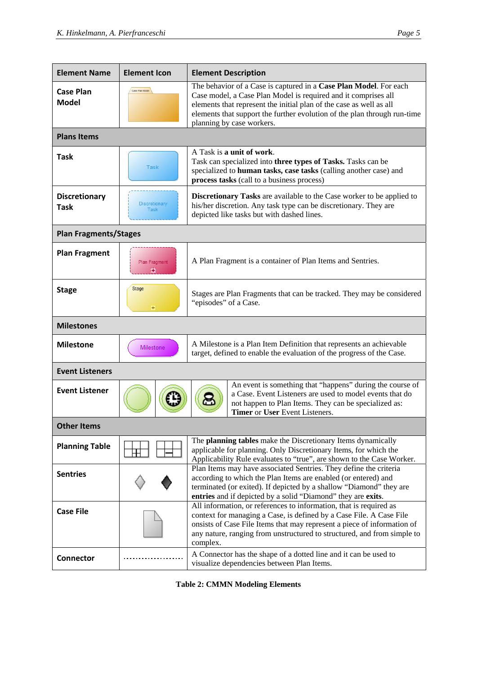| <b>Element Name</b>                 | <b>Element Icon</b>                                                              | <b>Element Description</b>                                                                                                                                                                                                                                                                                          |  |  |
|-------------------------------------|----------------------------------------------------------------------------------|---------------------------------------------------------------------------------------------------------------------------------------------------------------------------------------------------------------------------------------------------------------------------------------------------------------------|--|--|
| <b>Case Plan</b><br><b>Model</b>    | Case Plan Model                                                                  | The behavior of a Case is captured in a Case Plan Model. For each<br>Case model, a Case Plan Model is required and it comprises all<br>elements that represent the initial plan of the case as well as all<br>elements that support the further evolution of the plan through run-time<br>planning by case workers. |  |  |
| <b>Plans Items</b>                  |                                                                                  |                                                                                                                                                                                                                                                                                                                     |  |  |
| <b>Task</b>                         | Task                                                                             | A Task is a unit of work.<br>Task can specialized into three types of Tasks. Tasks can be<br>specialized to human tasks, case tasks (calling another case) and<br>process tasks (call to a business process)                                                                                                        |  |  |
| <b>Discretionary</b><br><b>Task</b> | <b>Discretionary</b><br>Task                                                     | <b>Discretionary Tasks</b> are available to the Case worker to be applied to<br>his/her discretion. Any task type can be discretionary. They are<br>depicted like tasks but with dashed lines.                                                                                                                      |  |  |
| <b>Plan Fragments/Stages</b>        |                                                                                  |                                                                                                                                                                                                                                                                                                                     |  |  |
| <b>Plan Fragment</b>                | A Plan Fragment is a container of Plan Items and Sentries.<br>Plan Fragment<br>田 |                                                                                                                                                                                                                                                                                                                     |  |  |
| <b>Stage</b>                        | Stage<br>÷                                                                       | Stages are Plan Fragments that can be tracked. They may be considered<br>"episodes" of a Case.                                                                                                                                                                                                                      |  |  |
| <b>Milestones</b>                   |                                                                                  |                                                                                                                                                                                                                                                                                                                     |  |  |
| <b>Milestone</b>                    | <b>Milestone</b>                                                                 | A Milestone is a Plan Item Definition that represents an achievable<br>target, defined to enable the evaluation of the progress of the Case.                                                                                                                                                                        |  |  |
| <b>Event Listeners</b>              |                                                                                  |                                                                                                                                                                                                                                                                                                                     |  |  |
| <b>Event Listener</b>               |                                                                                  | An event is something that "happens" during the course of<br>a Case. Event Listeners are used to model events that do<br>not happen to Plan Items. They can be specialized as:<br><b>Timer</b> or User Event Listeners.                                                                                             |  |  |
| <b>Other Items</b>                  |                                                                                  |                                                                                                                                                                                                                                                                                                                     |  |  |
| <b>Planning Table</b>               |                                                                                  | The planning tables make the Discretionary Items dynamically<br>applicable for planning. Only Discretionary Items, for which the<br>Applicability Rule evaluates to "true", are shown to the Case Worker.                                                                                                           |  |  |
| <b>Sentries</b>                     |                                                                                  | Plan Items may have associated Sentries. They define the criteria<br>according to which the Plan Items are enabled (or entered) and<br>terminated (or exited). If depicted by a shallow "Diamond" they are<br>entries and if depicted by a solid "Diamond" they are exits.                                          |  |  |
| <b>Case File</b>                    |                                                                                  | All information, or references to information, that is required as<br>context for managing a Case, is defined by a Case File. A Case File<br>onsists of Case File Items that may represent a piece of information of<br>any nature, ranging from unstructured to structured, and from simple to<br>complex.         |  |  |
| <b>Connector</b>                    |                                                                                  | A Connector has the shape of a dotted line and it can be used to<br>visualize dependencies between Plan Items.                                                                                                                                                                                                      |  |  |

**Table 2: CMMN Modeling Elements**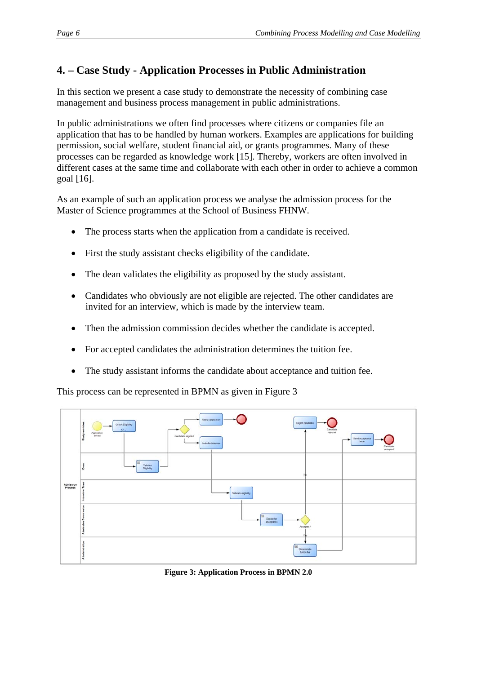# **4. – Case Study - Application Processes in Public Administration**

In this section we present a case study to demonstrate the necessity of combining case management and business process management in public administrations.

In public administrations we often find processes where citizens or companies file an application that has to be handled by human workers. Examples are applications for building permission, social welfare, student financial aid, or grants programmes. Many of these processes can be regarded as knowledge work [15]. Thereby, workers are often involved in different cases at the same time and collaborate with each other in order to achieve a common goal [16].

As an example of such an application process we analyse the admission process for the Master of Science programmes at the School of Business FHNW.

- The process starts when the application from a candidate is received.
- First the study assistant checks eligibility of the candidate.
- The dean validates the eligibility as proposed by the study assistant.
- Candidates who obviously are not eligible are rejected. The other candidates are invited for an interview, which is made by the interview team.
- Then the admission commission decides whether the candidate is accepted.
- For accepted candidates the administration determines the tuition fee.
- The study assistant informs the candidate about acceptance and tuition fee.

This process can be represented in BPMN as given in Figure 3



**Figure 3: Application Process in BPMN 2.0**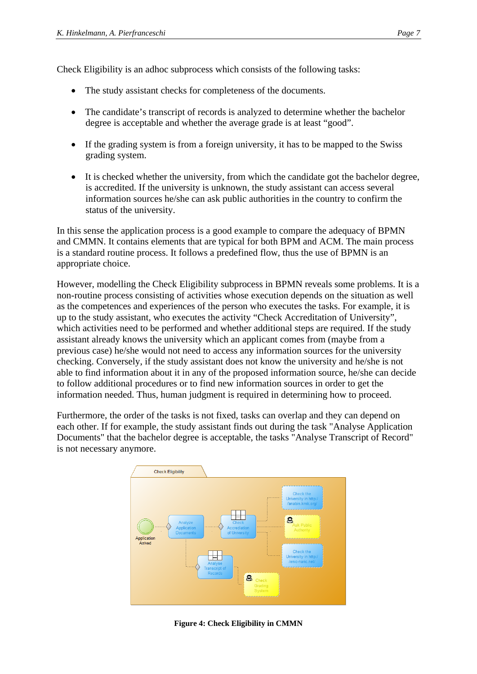Check Eligibility is an adhoc subprocess which consists of the following tasks:

- The study assistant checks for completeness of the documents.
- The candidate's transcript of records is analyzed to determine whether the bachelor degree is acceptable and whether the average grade is at least "good".
- If the grading system is from a foreign university, it has to be mapped to the Swiss grading system.
- It is checked whether the university, from which the candidate got the bachelor degree, is accredited. If the university is unknown, the study assistant can access several information sources he/she can ask public authorities in the country to confirm the status of the university.

In this sense the application process is a good example to compare the adequacy of BPMN and CMMN. It contains elements that are typical for both BPM and ACM. The main process is a standard routine process. It follows a predefined flow, thus the use of BPMN is an appropriate choice.

However, modelling the Check Eligibility subprocess in BPMN reveals some problems. It is a non-routine process consisting of activities whose execution depends on the situation as well as the competences and experiences of the person who executes the tasks. For example, it is up to the study assistant, who executes the activity "Check Accreditation of University", which activities need to be performed and whether additional steps are required. If the study assistant already knows the university which an applicant comes from (maybe from a previous case) he/she would not need to access any information sources for the university checking. Conversely, if the study assistant does not know the university and he/she is not able to find information about it in any of the proposed information source, he/she can decide to follow additional procedures or to find new information sources in order to get the information needed. Thus, human judgment is required in determining how to proceed.

Furthermore, the order of the tasks is not fixed, tasks can overlap and they can depend on each other. If for example, the study assistant finds out during the task "Analyse Application Documents" that the bachelor degree is acceptable, the tasks "Analyse Transcript of Record" is not necessary anymore.



**Figure 4: Check Eligibility in CMMN**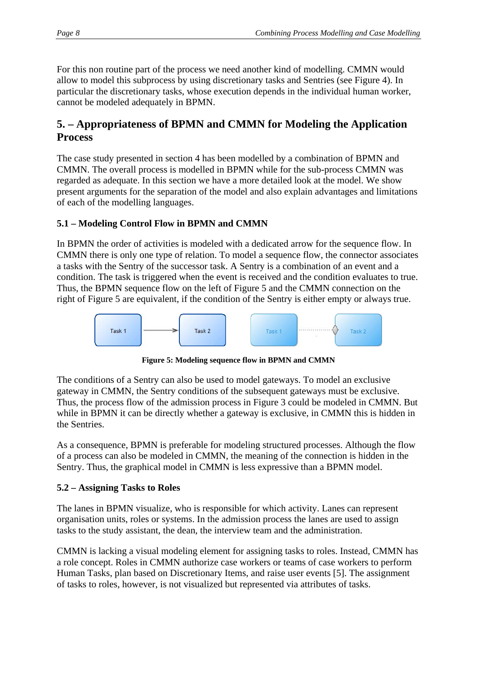For this non routine part of the process we need another kind of modelling. CMMN would allow to model this subprocess by using discretionary tasks and Sentries (see Figure 4). In particular the discretionary tasks, whose execution depends in the individual human worker, cannot be modeled adequately in BPMN.

## **5. – Appropriateness of BPMN and CMMN for Modeling the Application Process**

The case study presented in section 4 has been modelled by a combination of BPMN and CMMN. The overall process is modelled in BPMN while for the sub-process CMMN was regarded as adequate. In this section we have a more detailed look at the model. We show present arguments for the separation of the model and also explain advantages and limitations of each of the modelling languages.

#### **5.1 – Modeling Control Flow in BPMN and CMMN**

In BPMN the order of activities is modeled with a dedicated arrow for the sequence flow. In CMMN there is only one type of relation. To model a sequence flow, the connector associates a tasks with the Sentry of the successor task. A Sentry is a combination of an event and a condition. The task is triggered when the event is received and the condition evaluates to true. Thus, the BPMN sequence flow on the left of Figure 5 and the CMMN connection on the right of Figure 5 are equivalent, if the condition of the Sentry is either empty or always true.



**Figure 5: Modeling sequence flow in BPMN and CMMN** 

The conditions of a Sentry can also be used to model gateways. To model an exclusive gateway in CMMN, the Sentry conditions of the subsequent gateways must be exclusive. Thus, the process flow of the admission process in Figure 3 could be modeled in CMMN. But while in BPMN it can be directly whether a gateway is exclusive, in CMMN this is hidden in the Sentries.

As a consequence, BPMN is preferable for modeling structured processes. Although the flow of a process can also be modeled in CMMN, the meaning of the connection is hidden in the Sentry. Thus, the graphical model in CMMN is less expressive than a BPMN model.

#### **5.2 – Assigning Tasks to Roles**

The lanes in BPMN visualize, who is responsible for which activity. Lanes can represent organisation units, roles or systems. In the admission process the lanes are used to assign tasks to the study assistant, the dean, the interview team and the administration.

CMMN is lacking a visual modeling element for assigning tasks to roles. Instead, CMMN has a role concept. Roles in CMMN authorize case workers or teams of case workers to perform Human Tasks, plan based on Discretionary Items, and raise user events [5]. The assignment of tasks to roles, however, is not visualized but represented via attributes of tasks.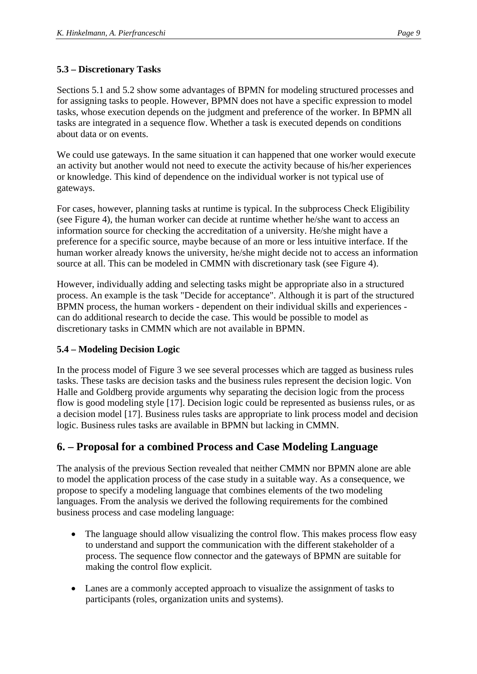#### **5.3 – Discretionary Tasks**

Sections 5.1 and 5.2 show some advantages of BPMN for modeling structured processes and for assigning tasks to people. However, BPMN does not have a specific expression to model tasks, whose execution depends on the judgment and preference of the worker. In BPMN all tasks are integrated in a sequence flow. Whether a task is executed depends on conditions about data or on events.

We could use gateways. In the same situation it can happened that one worker would execute an activity but another would not need to execute the activity because of his/her experiences or knowledge. This kind of dependence on the individual worker is not typical use of gateways.

For cases, however, planning tasks at runtime is typical. In the subprocess Check Eligibility (see Figure 4), the human worker can decide at runtime whether he/she want to access an information source for checking the accreditation of a university. He/she might have a preference for a specific source, maybe because of an more or less intuitive interface. If the human worker already knows the university, he/she might decide not to access an information source at all. This can be modeled in CMMN with discretionary task (see Figure 4).

However, individually adding and selecting tasks might be appropriate also in a structured process. An example is the task "Decide for acceptance". Although it is part of the structured BPMN process, the human workers - dependent on their individual skills and experiences can do additional research to decide the case. This would be possible to model as discretionary tasks in CMMN which are not available in BPMN.

#### **5.4 – Modeling Decision Logic**

In the process model of Figure 3 we see several processes which are tagged as business rules tasks. These tasks are decision tasks and the business rules represent the decision logic. Von Halle and Goldberg provide arguments why separating the decision logic from the process flow is good modeling style [17]. Decision logic could be represented as busienss rules, or as a decision model [17]. Business rules tasks are appropriate to link process model and decision logic. Business rules tasks are available in BPMN but lacking in CMMN.

### **6. – Proposal for a combined Process and Case Modeling Language**

The analysis of the previous Section revealed that neither CMMN nor BPMN alone are able to model the application process of the case study in a suitable way. As a consequence, we propose to specify a modeling language that combines elements of the two modeling languages. From the analysis we derived the following requirements for the combined business process and case modeling language:

- The language should allow visualizing the control flow. This makes process flow easy to understand and support the communication with the different stakeholder of a process. The sequence flow connector and the gateways of BPMN are suitable for making the control flow explicit.
- Lanes are a commonly accepted approach to visualize the assignment of tasks to participants (roles, organization units and systems).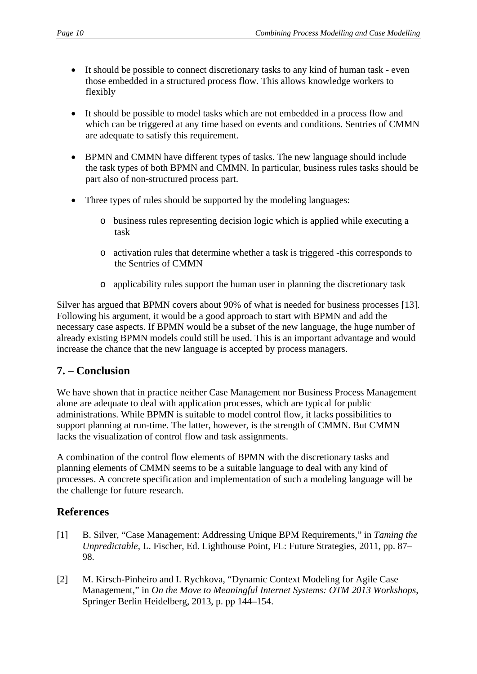- It should be possible to connect discretionary tasks to any kind of human task even those embedded in a structured process flow. This allows knowledge workers to flexibly
- It should be possible to model tasks which are not embedded in a process flow and which can be triggered at any time based on events and conditions. Sentries of CMMN are adequate to satisfy this requirement.
- BPMN and CMMN have different types of tasks. The new language should include the task types of both BPMN and CMMN. In particular, business rules tasks should be part also of non-structured process part.
- Three types of rules should be supported by the modeling languages:
	- o business rules representing decision logic which is applied while executing a task
	- o activation rules that determine whether a task is triggered -this corresponds to the Sentries of CMMN
	- o applicability rules support the human user in planning the discretionary task

Silver has argued that BPMN covers about 90% of what is needed for business processes [13]. Following his argument, it would be a good approach to start with BPMN and add the necessary case aspects. If BPMN would be a subset of the new language, the huge number of already existing BPMN models could still be used. This is an important advantage and would increase the chance that the new language is accepted by process managers.

### **7. – Conclusion**

We have shown that in practice neither Case Management nor Business Process Management alone are adequate to deal with application processes, which are typical for public administrations. While BPMN is suitable to model control flow, it lacks possibilities to support planning at run-time. The latter, however, is the strength of CMMN. But CMMN lacks the visualization of control flow and task assignments.

A combination of the control flow elements of BPMN with the discretionary tasks and planning elements of CMMN seems to be a suitable language to deal with any kind of processes. A concrete specification and implementation of such a modeling language will be the challenge for future research.

### **References**

- [1] B. Silver, "Case Management: Addressing Unique BPM Requirements," in *Taming the Unpredictable*, L. Fischer, Ed. Lighthouse Point, FL: Future Strategies, 2011, pp. 87– 98.
- [2] M. Kirsch-Pinheiro and I. Rychkova, "Dynamic Context Modeling for Agile Case Management," in *On the Move to Meaningful Internet Systems: OTM 2013 Workshops*, Springer Berlin Heidelberg, 2013, p. pp 144–154.